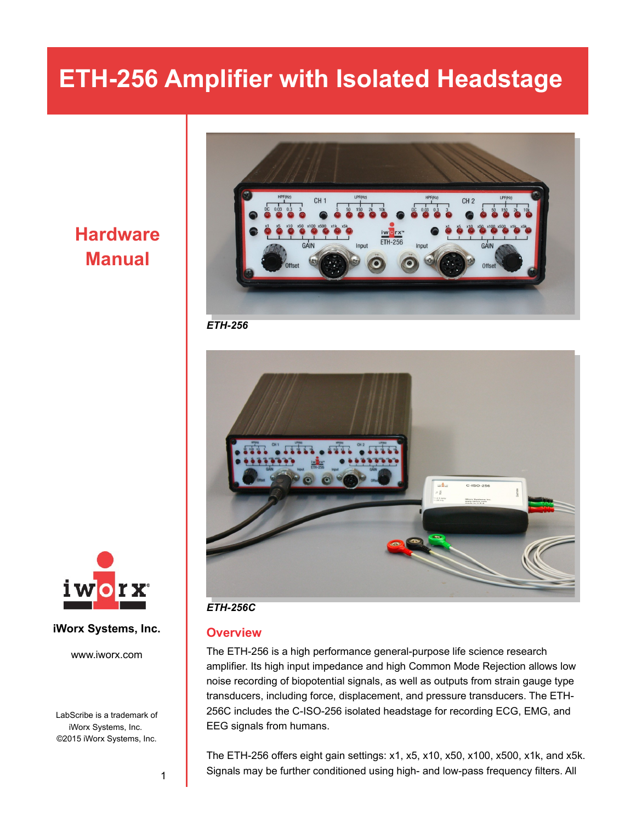### **Hardware Manual**



*ETH-256*



#### **iWorx Systems, Inc.**

www.iworx.com

LabScribe is a trademark of iWorx Systems, Inc. ©2015 iWorx Systems, Inc.

#### *ETH-256C*

#### **Overview**

The ETH-256 is a high performance general-purpose life science research amplifier. Its high input impedance and high Common Mode Rejection allows low noise recording of biopotential signals, as well as outputs from strain gauge type transducers, including force, displacement, and pressure transducers. The ETH-256C includes the C-ISO-256 isolated headstage for recording ECG, EMG, and EEG signals from humans.

The ETH-256 offers eight gain settings: x1, x5, x10, x50, x100, x500, x1k, and x5k. Signals may be further conditioned using high- and low-pass frequency filters. All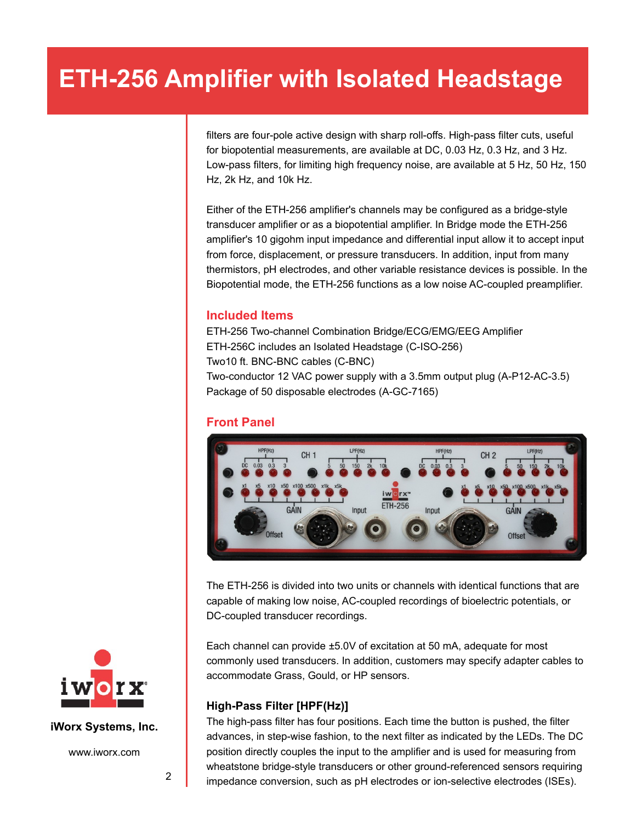filters are four-pole active design with sharp roll-offs. High-pass filter cuts, useful for biopotential measurements, are available at DC, 0.03 Hz, 0.3 Hz, and 3 Hz. Low-pass filters, for limiting high frequency noise, are available at 5 Hz, 50 Hz, 150 Hz, 2k Hz, and 10k Hz.

Either of the ETH-256 amplifier's channels may be configured as a bridge-style transducer amplifier or as a biopotential amplifier. In Bridge mode the ETH-256 amplifier's 10 gigohm input impedance and differential input allow it to accept input from force, displacement, or pressure transducers. In addition, input from many thermistors, pH electrodes, and other variable resistance devices is possible. In the Biopotential mode, the ETH-256 functions as a low noise AC-coupled preamplifier.

#### **Included Items**

ETH-256 Two-channel Combination Bridge/ECG/EMG/EEG Amplifier ETH-256C includes an Isolated Headstage (C-ISO-256) Two10 ft. BNC-BNC cables (C-BNC) Two-conductor 12 VAC power supply with a 3.5mm output plug (A-P12-AC-3.5) Package of 50 disposable electrodes (A-GC-7165)

#### **Front Panel**



The ETH-256 is divided into two units or channels with identical functions that are capable of making low noise, AC-coupled recordings of bioelectric potentials, or DC-coupled transducer recordings.

Each channel can provide ±5.0V of excitation at 50 mA, adequate for most commonly used transducers. In addition, customers may specify adapter cables to accommodate Grass, Gould, or HP sensors.

#### **High-Pass Filter [HPF(Hz)]**

The high-pass filter has four positions. Each time the button is pushed, the filter advances, in step-wise fashion, to the next filter as indicated by the LEDs. The DC position directly couples the input to the amplifier and is used for measuring from wheatstone bridge-style transducers or other ground-referenced sensors requiring impedance conversion, such as pH electrodes or ion-selective electrodes (ISEs).



**iWorx Systems, Inc.**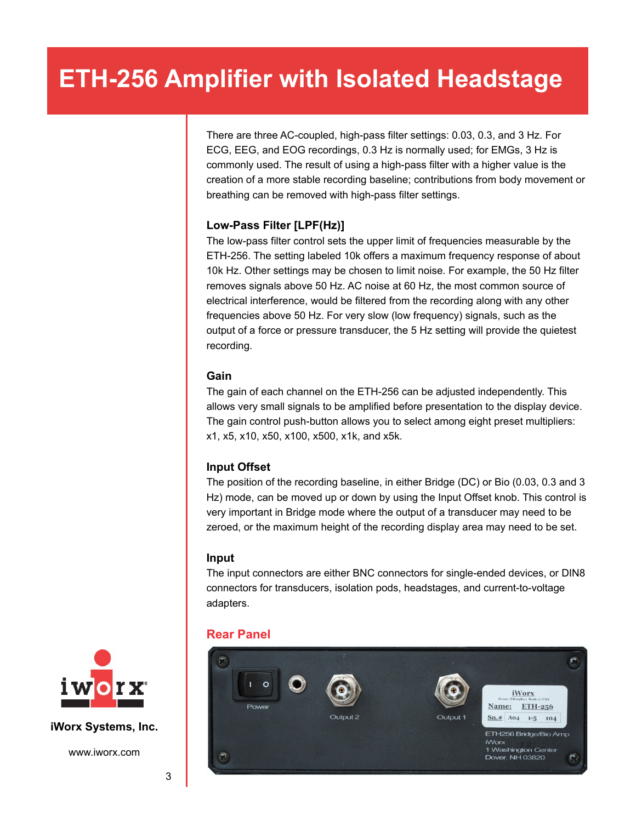There are three AC-coupled, high-pass filter settings: 0.03, 0.3, and 3 Hz. For ECG, EEG, and EOG recordings, 0.3 Hz is normally used; for EMGs, 3 Hz is commonly used. The result of using a high-pass filter with a higher value is the creation of a more stable recording baseline; contributions from body movement or breathing can be removed with high-pass filter settings.

#### **Low-Pass Filter [LPF(Hz)]**

The low-pass filter control sets the upper limit of frequencies measurable by the ETH-256. The setting labeled 10k offers a maximum frequency response of about 10k Hz. Other settings may be chosen to limit noise. For example, the 50 Hz filter removes signals above 50 Hz. AC noise at 60 Hz, the most common source of electrical interference, would be filtered from the recording along with any other frequencies above 50 Hz. For very slow (low frequency) signals, such as the output of a force or pressure transducer, the 5 Hz setting will provide the quietest recording.

#### **Gain**

The gain of each channel on the ETH-256 can be adjusted independently. This allows very small signals to be amplified before presentation to the display device. The gain control push-button allows you to select among eight preset multipliers: x1, x5, x10, x50, x100, x500, x1k, and x5k.

#### **Input Offset**

The position of the recording baseline, in either Bridge (DC) or Bio (0.03, 0.3 and 3 Hz) mode, can be moved up or down by using the Input Offset knob. This control is very important in Bridge mode where the output of a transducer may need to be zeroed, or the maximum height of the recording display area may need to be set.

#### **Input**

The input connectors are either BNC connectors for single-ended devices, or DIN8 connectors for transducers, isolation pods, headstages, and current-to-voltage adapters.

### **Rear Panel**





**iWorx Systems, Inc.**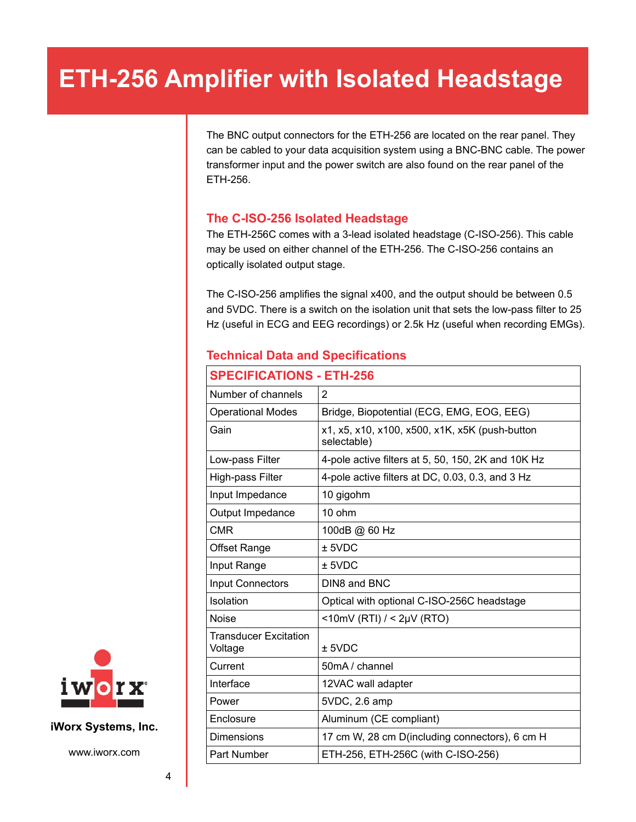The BNC output connectors for the ETH-256 are located on the rear panel. They can be cabled to your data acquisition system using a BNC-BNC cable. The power transformer input and the power switch are also found on the rear panel of the ETH-256.

#### **The C-ISO-256 Isolated Headstage**

The ETH-256C comes with a 3-lead isolated headstage (C-ISO-256). This cable may be used on either channel of the ETH-256. The C-ISO-256 contains an optically isolated output stage.

The C-ISO-256 amplifies the signal x400, and the output should be between 0.5 and 5VDC. There is a switch on the isolation unit that sets the low-pass filter to 25 Hz (useful in ECG and EEG recordings) or 2.5k Hz (useful when recording EMGs).

#### **Technical Data and Specifications**

| <b>SPECIFICATIONS - ETH-256</b>         |                                                               |
|-----------------------------------------|---------------------------------------------------------------|
| Number of channels                      | 2                                                             |
| <b>Operational Modes</b>                | Bridge, Biopotential (ECG, EMG, EOG, EEG)                     |
| Gain                                    | x1, x5, x10, x100, x500, x1K, x5K (push-button<br>selectable) |
| Low-pass Filter                         | 4-pole active filters at 5, 50, 150, 2K and 10K Hz            |
| High-pass Filter                        | 4-pole active filters at DC, 0.03, 0.3, and 3 Hz              |
| Input Impedance                         | 10 gigohm                                                     |
| Output Impedance                        | 10 ohm                                                        |
| <b>CMR</b>                              | 100dB @ 60 Hz                                                 |
| <b>Offset Range</b>                     | $±$ 5VDC                                                      |
| Input Range                             | $±$ 5VDC                                                      |
| <b>Input Connectors</b>                 | DIN8 and BNC                                                  |
| Isolation                               | Optical with optional C-ISO-256C headstage                    |
| <b>Noise</b>                            | <10mV (RTI) / < $2\mu$ V (RTO)                                |
| <b>Transducer Excitation</b><br>Voltage | $±$ 5VDC                                                      |
| Current                                 | 50mA / channel                                                |
| Interface                               | 12VAC wall adapter                                            |
| Power                                   | 5VDC, 2.6 amp                                                 |
| Enclosure                               | Aluminum (CE compliant)                                       |
| <b>Dimensions</b>                       | 17 cm W, 28 cm D(including connectors), 6 cm H                |
| Part Number                             | ETH-256, ETH-256C (with C-ISO-256)                            |



**iWorx Systems, Inc.**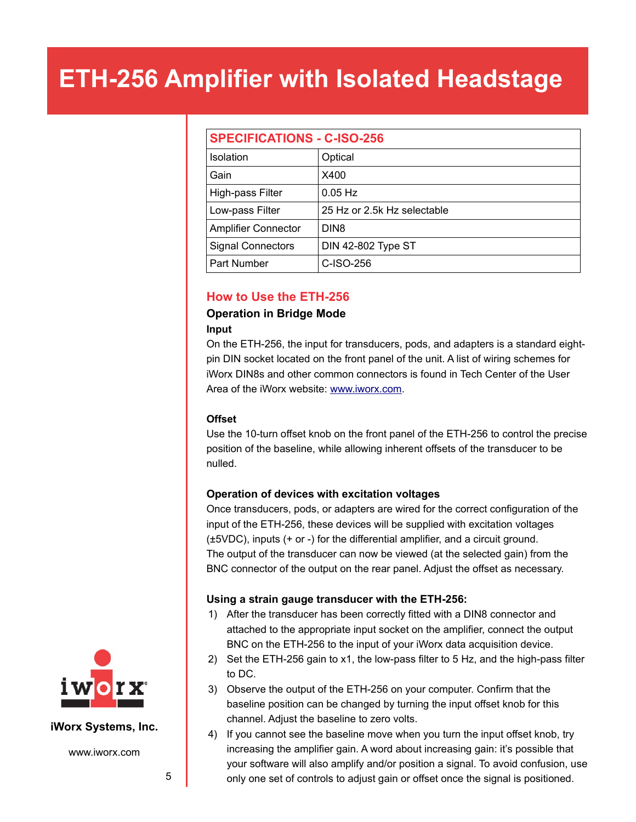| <b>SPECIFICATIONS - C-ISO-256</b> |                             |
|-----------------------------------|-----------------------------|
| <b>Isolation</b>                  | Optical                     |
| Gain                              | X400                        |
| High-pass Filter                  | $0.05$ Hz                   |
| Low-pass Filter                   | 25 Hz or 2.5k Hz selectable |
| <b>Amplifier Connector</b>        | DIN <sub>8</sub>            |
| <b>Signal Connectors</b>          | <b>DIN 42-802 Type ST</b>   |
| Part Number                       | C-ISO-256                   |

#### **How to Use the ETH-256**

#### **Operation in Bridge Mode**

#### **Input**

On the ETH-256, the input for transducers, pods, and adapters is a standard eightpin DIN socket located on the front panel of the unit. A list of wiring schemes for iWorx DIN8s and other common connectors is found in Tech Center of the User Area of the iWorx website: [www.iworx.com.](http://www.iworx.com/)

#### **Offset**

Use the 10-turn offset knob on the front panel of the ETH-256 to control the precise position of the baseline, while allowing inherent offsets of the transducer to be nulled.

#### **Operation of devices with excitation voltages**

Once transducers, pods, or adapters are wired for the correct configuration of the input of the ETH-256, these devices will be supplied with excitation voltages (±5VDC), inputs (+ or -) for the differential amplifier, and a circuit ground. The output of the transducer can now be viewed (at the selected gain) from the BNC connector of the output on the rear panel. Adjust the offset as necessary.

#### **Using a strain gauge transducer with the ETH-256:**

- 1) After the transducer has been correctly fitted with a DIN8 connector and attached to the appropriate input socket on the amplifier, connect the output BNC on the ETH-256 to the input of your iWorx data acquisition device.
- 2) Set the ETH-256 gain to x1, the low-pass filter to 5 Hz, and the high-pass filter to DC.
- 3) Observe the output of the ETH-256 on your computer. Confirm that the baseline position can be changed by turning the input offset knob for this channel. Adjust the baseline to zero volts.
- 4) If you cannot see the baseline move when you turn the input offset knob, try increasing the amplifier gain. A word about increasing gain: it's possible that your software will also amplify and/or position a signal. To avoid confusion, use only one set of controls to adjust gain or offset once the signal is positioned.



#### **iWorx Systems, Inc.**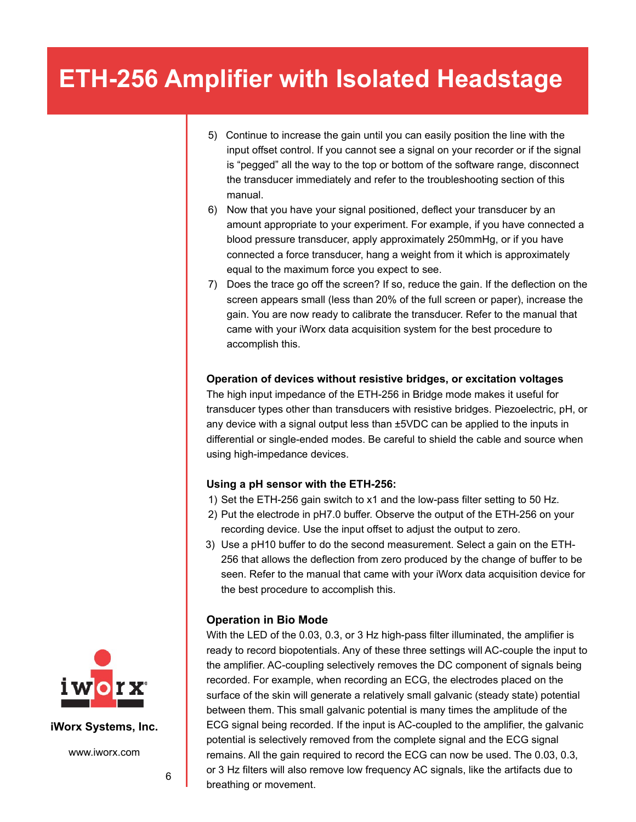- 5) Continue to increase the gain until you can easily position the line with the input offset control. If you cannot see a signal on your recorder or if the signal is "pegged" all the way to the top or bottom of the software range, disconnect the transducer immediately and refer to the troubleshooting section of this manual.
- 6) Now that you have your signal positioned, deflect your transducer by an amount appropriate to your experiment. For example, if you have connected a blood pressure transducer, apply approximately 250mmHg, or if you have connected a force transducer, hang a weight from it which is approximately equal to the maximum force you expect to see.
- 7) Does the trace go off the screen? If so, reduce the gain. If the deflection on the screen appears small (less than 20% of the full screen or paper), increase the gain. You are now ready to calibrate the transducer. Refer to the manual that came with your iWorx data acquisition system for the best procedure to accomplish this.

#### **Operation of devices without resistive bridges, or excitation voltages**

The high input impedance of the ETH-256 in Bridge mode makes it useful for transducer types other than transducers with resistive bridges. Piezoelectric, pH, or any device with a signal output less than ±5VDC can be applied to the inputs in differential or single-ended modes. Be careful to shield the cable and source when using high-impedance devices.

#### **Using a pH sensor with the ETH-256:**

- 1) Set the ETH-256 gain switch to x1 and the low-pass filter setting to 50 Hz.
- 2) Put the electrode in pH7.0 buffer. Observe the output of the ETH-256 on your recording device. Use the input offset to adjust the output to zero.
- 3) Use a pH10 buffer to do the second measurement. Select a gain on the ETH-256 that allows the deflection from zero produced by the change of buffer to be seen. Refer to the manual that came with your iWorx data acquisition device for the best procedure to accomplish this.

#### **Operation in Bio Mode**

With the LED of the 0.03, 0.3, or 3 Hz high-pass filter illuminated, the amplifier is ready to record biopotentials. Any of these three settings will AC-couple the input to the amplifier. AC-coupling selectively removes the DC component of signals being recorded. For example, when recording an ECG, the electrodes placed on the surface of the skin will generate a relatively small galvanic (steady state) potential between them. This small galvanic potential is many times the amplitude of the ECG signal being recorded. If the input is AC-coupled to the amplifier, the galvanic potential is selectively removed from the complete signal and the ECG signal remains. All the gain required to record the ECG can now be used. The 0.03, 0.3, or 3 Hz filters will also remove low frequency AC signals, like the artifacts due to breathing or movement.



**iWorx Systems, Inc.**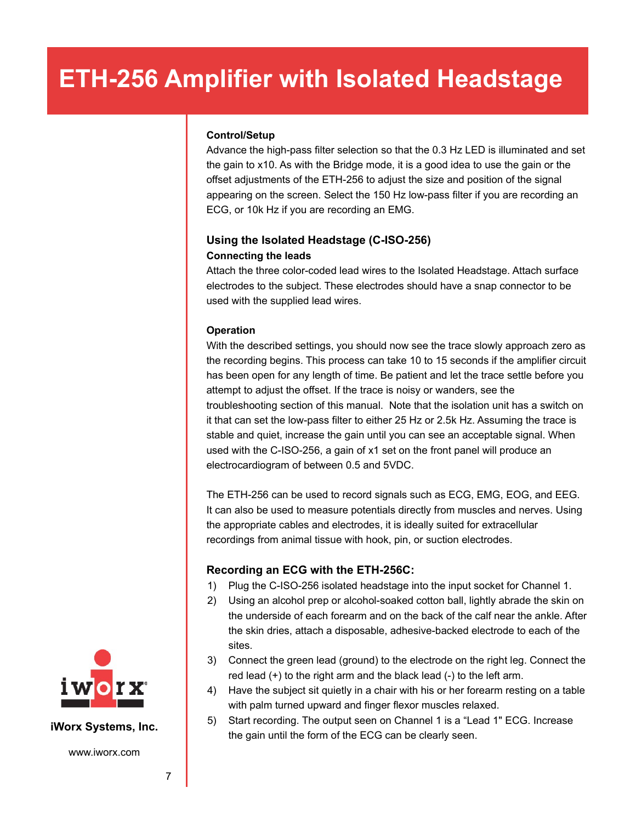#### **Control/Setup**

Advance the high-pass filter selection so that the 0.3 Hz LED is illuminated and set the gain to x10. As with the Bridge mode, it is a good idea to use the gain or the offset adjustments of the ETH-256 to adjust the size and position of the signal appearing on the screen. Select the 150 Hz low-pass filter if you are recording an ECG, or 10k Hz if you are recording an EMG.

#### **Using the Isolated Headstage (C-ISO-256) Connecting the leads**

Attach the three color-coded lead wires to the Isolated Headstage. Attach surface electrodes to the subject. These electrodes should have a snap connector to be used with the supplied lead wires.

#### **Operation**

With the described settings, you should now see the trace slowly approach zero as the recording begins. This process can take 10 to 15 seconds if the amplifier circuit has been open for any length of time. Be patient and let the trace settle before you attempt to adjust the offset. If the trace is noisy or wanders, see the troubleshooting section of this manual. Note that the isolation unit has a switch on it that can set the low-pass filter to either 25 Hz or 2.5k Hz. Assuming the trace is stable and quiet, increase the gain until you can see an acceptable signal. When used with the C-ISO-256, a gain of x1 set on the front panel will produce an electrocardiogram of between 0.5 and 5VDC.

The ETH-256 can be used to record signals such as ECG, EMG, EOG, and EEG. It can also be used to measure potentials directly from muscles and nerves. Using the appropriate cables and electrodes, it is ideally suited for extracellular recordings from animal tissue with hook, pin, or suction electrodes.

#### **Recording an ECG with the ETH-256C:**

- 1) Plug the C-ISO-256 isolated headstage into the input socket for Channel 1.
- 2) Using an alcohol prep or alcohol-soaked cotton ball, lightly abrade the skin on the underside of each forearm and on the back of the calf near the ankle. After the skin dries, attach a disposable, adhesive-backed electrode to each of the sites.
- 3) Connect the green lead (ground) to the electrode on the right leg. Connect the red lead (+) to the right arm and the black lead (-) to the left arm.
- 4) Have the subject sit quietly in a chair with his or her forearm resting on a table with palm turned upward and finger flexor muscles relaxed.
- 5) Start recording. The output seen on Channel 1 is a "Lead 1" ECG. Increase the gain until the form of the ECG can be clearly seen.



#### **iWorx Systems, Inc.**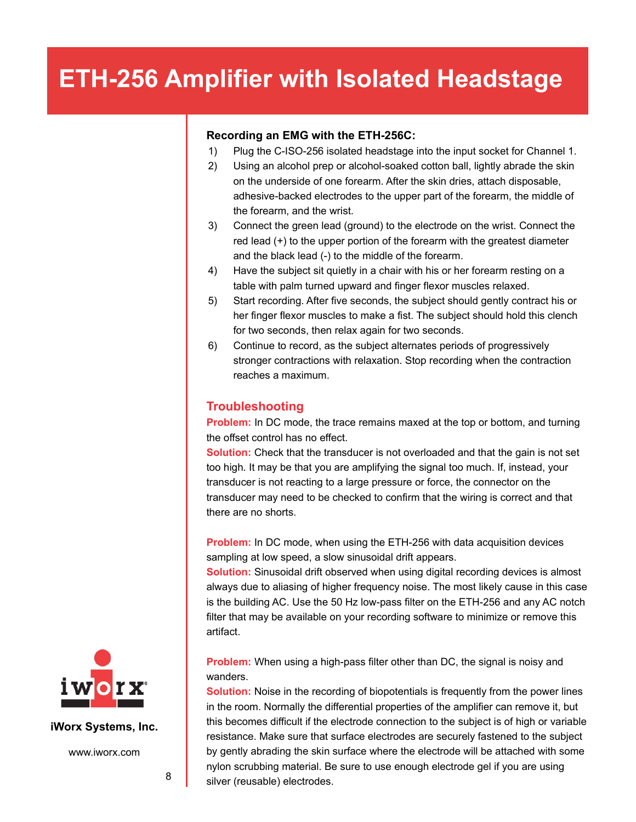#### **Recording an EMG with the ETH-256C:**

- 1) Plug the C-ISO-256 isolated headstage into the input socket for Channel 1.
- 2) Using an alcohol prep or alcohol-soaked cotton ball, lightly abrade the skin on the underside of one forearm. After the skin dries, attach disposable, adhesive-backed electrodes to the upper part of the forearm, the middle of the forearm, and the wrist.
- 3) Connect the green lead (ground) to the electrode on the wrist. Connect the red lead (+) to the upper portion of the forearm with the greatest diameter and the black lead (-) to the middle of the forearm.
- 4) Have the subject sit quietly in a chair with his or her forearm resting on a table with palm turned upward and finger flexor muscles relaxed.
- 5) Start recording. After five seconds, the subject should gently contract his or her finger flexor muscles to make a fist. The subject should hold this clench for two seconds, then relax again for two seconds.
- 6) Continue to record, as the subject alternates periods of progressively stronger contractions with relaxation. Stop recording when the contraction reaches a maximum.

#### **Troubleshooting**

**Problem:** In DC mode, the trace remains maxed at the top or bottom, and turning the offset control has no effect.

**Solution:** Check that the transducer is not overloaded and that the gain is not set too high. It may be that you are amplifying the signal too much. If, instead, your transducer is not reacting to a large pressure or force, the connector on the transducer may need to be checked to confirm that the wiring is correct and that there are no shorts.

**Problem:** In DC mode, when using the ETH-256 with data acquisition devices sampling at low speed, a slow sinusoidal drift appears.

**Solution:** Sinusoidal drift observed when using digital recording devices is almost always due to aliasing of higher frequency noise. The most likely cause in this case is the building AC. Use the 50 Hz low-pass filter on the ETH-256 and any AC notch filter that may be available on your recording software to minimize or remove this artifact.

**Problem:** When using a high-pass filter other than DC, the signal is noisy and wanders.

**Solution:** Noise in the recording of biopotentials is frequently from the power lines in the room. Normally the differential properties of the amplifier can remove it, but this becomes difficult if the electrode connection to the subject is of high or variable resistance. Make sure that surface electrodes are securely fastened to the subject by gently abrading the skin surface where the electrode will be attached with some nylon scrubbing material. Be sure to use enough electrode gel if you are using silver (reusable) electrodes.



**iWorx Systems, Inc.**